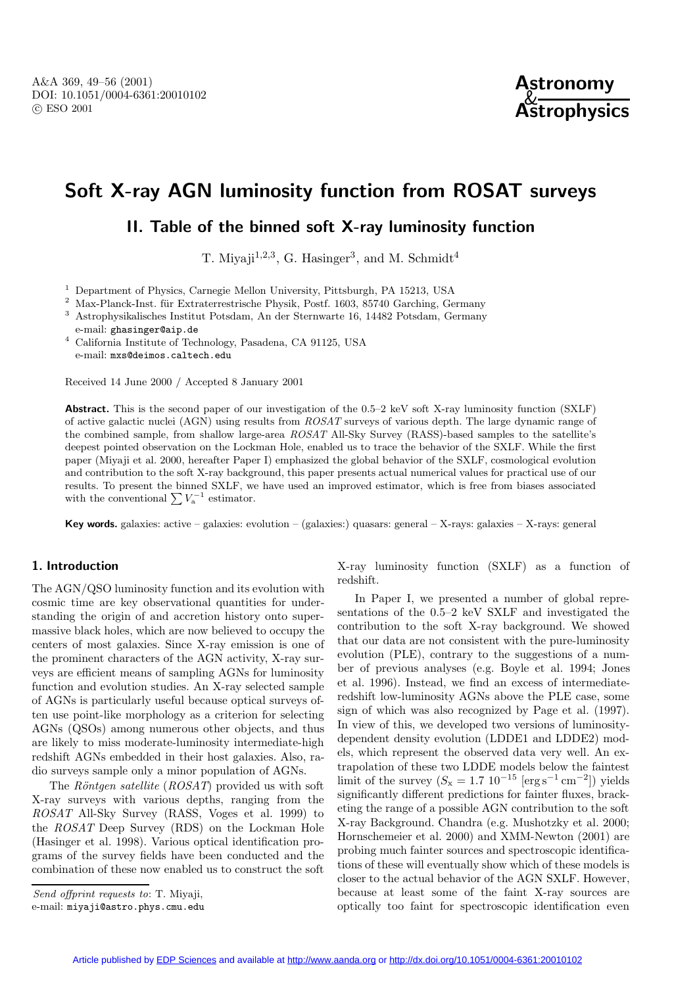# **Soft X-ray AGN luminosity function from ROSAT surveys**

## **II. Table of the binned soft X-ray luminosity function**

T. Mivaji<sup>1,2,3</sup>, G. Hasinger<sup>3</sup>, and M. Schmidt<sup>4</sup>

<sup>1</sup> Department of Physics, Carnegie Mellon University, Pittsburgh, PA 15213, USA

 $2$  Max-Planck-Inst. für Extraterrestrische Physik, Postf. 1603, 85740 Garching, Germany <sup>3</sup> Astrophysikalisches Institut Potsdam, An der Sternwarte 16, 14482 Potsdam, Germany

e-mail: ghasinger@aip.de

<sup>4</sup> California Institute of Technology, Pasadena, CA 91125, USA e-mail: mxs@deimos.caltech.edu

Received 14 June 2000 / Accepted 8 January 2001

**Abstract.** This is the second paper of our investigation of the 0.5–2 keV soft X-ray luminosity function (SXLF) of active galactic nuclei (AGN) using results from ROSAT surveys of various depth. The large dynamic range of the combined sample, from shallow large-area ROSAT All-Sky Survey (RASS)-based samples to the satellite's deepest pointed observation on the Lockman Hole, enabled us to trace the behavior of the SXLF. While the first paper (Miyaji et al. 2000, hereafter Paper I) emphasized the global behavior of the SXLF, cosmological evolution and contribution to the soft X-ray background, this paper presents actual numerical values for practical use of our results. To present the binned SXLF, we have used an improved estimator, which is free from biases associated with the conventional  $\sum V_{\rm a}^{-1}$  estimator.

**Key words.** galaxies: active – galaxies: evolution – (galaxies:) quasars: general – X-rays: galaxies – X-rays: general

### **1. Introduction**

The AGN/QSO luminosity function and its evolution with cosmic time are key observational quantities for understanding the origin of and accretion history onto supermassive black holes, which are now believed to occupy the centers of most galaxies. Since X-ray emission is one of the prominent characters of the AGN activity, X-ray surveys are efficient means of sampling AGNs for luminosity function and evolution studies. An X-ray selected sample of AGNs is particularly useful because optical surveys often use point-like morphology as a criterion for selecting AGNs (QSOs) among numerous other objects, and thus are likely to miss moderate-luminosity intermediate-high redshift AGNs embedded in their host galaxies. Also, radio surveys sample only a minor population of AGNs.

The Röntgen satellite  $(ROSAT)$  provided us with soft X-ray surveys with various depths, ranging from the ROSAT All-Sky Survey (RASS, Voges et al. 1999) to the ROSAT Deep Survey (RDS) on the Lockman Hole (Hasinger et al. 1998). Various optical identification programs of the survey fields have been conducted and the combination of these now enabled us to construct the soft

Send offprint requests to: T. Mivaii,

X-ray luminosity function (SXLF) as a function of redshift.

In Paper I, we presented a number of global representations of the 0.5–2 keV SXLF and investigated the contribution to the soft X-ray background. We showed that our data are not consistent with the pure-luminosity evolution (PLE), contrary to the suggestions of a number of previous analyses (e.g. Boyle et al. 1994; Jones et al. 1996). Instead, we find an excess of intermediateredshift low-luminosity AGNs above the PLE case, some sign of which was also recognized by Page et al. (1997). In view of this, we developed two versions of luminositydependent density evolution (LDDE1 and LDDE2) models, which represent the observed data very well. An extrapolation of these two LDDE models below the faintest limit of the survey  $(S_x = 1.7 \; 10^{-15} \; [\text{erg s}^{-1} \text{ cm}^{-2}])$  yields significantly different predictions for fainter fluxes, bracketing the range of a possible AGN contribution to the soft X-ray Background. Chandra (e.g. Mushotzky et al. 2000; Hornschemeier et al. 2000) and XMM-Newton (2001) are probing much fainter sources and spectroscopic identifications of these will eventually show which of these models is closer to the actual behavior of the AGN SXLF. However, because at least some of the faint X-ray sources are optically too faint for spectroscopic identification even

e-mail: miyaji@astro.phys.cmu.edu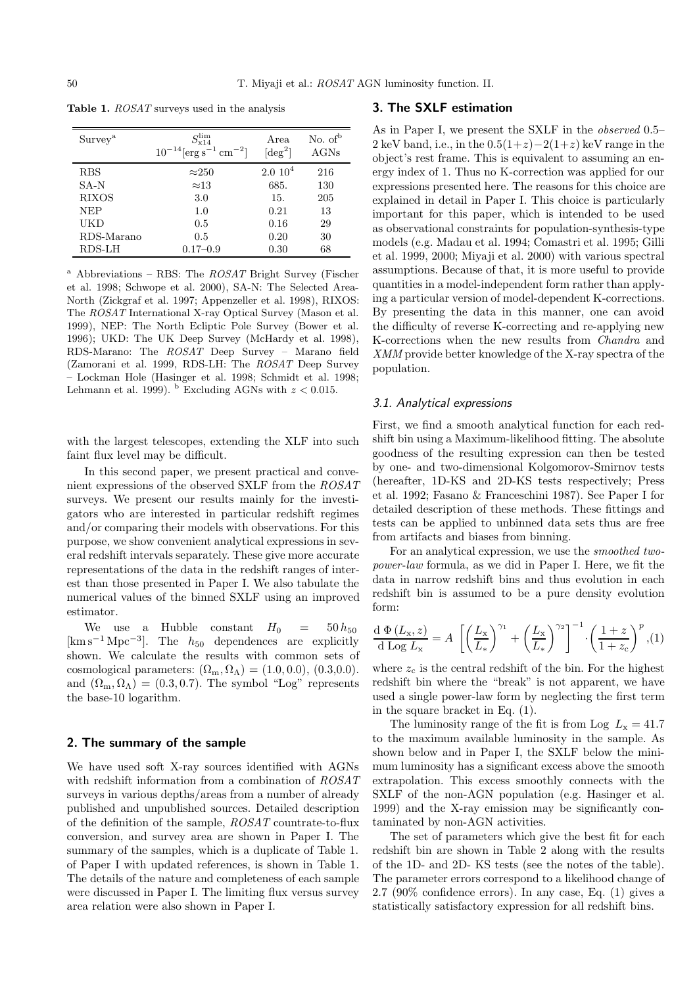| Survey <sup>a</sup> | $S_{\rm v14}^{\rm lim}$<br>$10^{-14}$ [erg s <sup>-1</sup> cm <sup>-2</sup> ] | Area<br>$\lceil \text{deg}^2 \rceil$ | No. of $b$<br>AGNs |
|---------------------|-------------------------------------------------------------------------------|--------------------------------------|--------------------|
| <b>RBS</b>          | $\approx$ 250                                                                 | $2.0 \; 10^4$                        | 216                |
| $SA-N$              | $\approx 13$                                                                  | 685.                                 | 130                |
| <b>RIXOS</b>        | 3.0                                                                           | 15.                                  | 205                |
| <b>NEP</b>          | 1.0                                                                           | 0.21                                 | 13                 |
| UKD                 | 0.5                                                                           | 0.16                                 | 29                 |
| RDS-Marano          | 0.5                                                                           | 0.20                                 | 30                 |
| RDS-LH              | $0.17 - 0.9$                                                                  | 0.30                                 | 68                 |

**Table 1.** ROSAT surveys used in the analysis

<sup>a</sup> Abbreviations – RBS: The  $ROSAT$  Bright Survey (Fischer et al. 1998; Schwope et al. 2000), SA-N: The Selected Area-North (Zickgraf et al. 1997; Appenzeller et al. 1998), RIXOS: The ROSAT International X-ray Optical Survey (Mason et al. 1999), NEP: The North Ecliptic Pole Survey (Bower et al. 1996); UKD: The UK Deep Survey (McHardy et al. 1998), RDS-Marano: The ROSAT Deep Survey – Marano field (Zamorani et al. 1999, RDS-LH: The ROSAT Deep Survey – Lockman Hole (Hasinger et al. 1998; Schmidt et al. 1998; Lehmann et al. 1999).  $^{\rm b}$  Excluding AGNs with  $z < 0.015$ .

with the largest telescopes, extending the XLF into such faint flux level may be difficult.

In this second paper, we present practical and convenient expressions of the observed SXLF from the ROSAT surveys. We present our results mainly for the investigators who are interested in particular redshift regimes and/or comparing their models with observations. For this purpose, we show convenient analytical expressions in several redshift intervals separately. These give more accurate representations of the data in the redshift ranges of interest than those presented in Paper I. We also tabulate the numerical values of the binned SXLF using an improved estimator.

We use a Hubble constant  $H_0 = 50 h_{50}$  $[\text{km}\,\text{s}^{-1}\,\text{Mpc}^{-3}]$ . The  $h_{50}$  dependences are explicitly shown. We calculate the results with common sets of cosmological parameters:  $(\Omega_{\rm m}, \Omega_{\Lambda}) = (1.0, 0.0), (0.3, 0.0).$ and  $(\Omega_{\rm m}, \Omega_{\Lambda}) = (0.3, 0.7)$ . The symbol "Log" represents the base-10 logarithm.

### **2. The summary of the sample**

We have used soft X-ray sources identified with AGNs with redshift information from a combination of ROSAT surveys in various depths/areas from a number of already published and unpublished sources. Detailed description of the definition of the sample, ROSAT countrate-to-flux conversion, and survey area are shown in Paper I. The summary of the samples, which is a duplicate of Table 1. of Paper I with updated references, is shown in Table 1. The details of the nature and completeness of each sample were discussed in Paper I. The limiting flux versus survey area relation were also shown in Paper I.

### **3. The SXLF estimation**

As in Paper I, we present the SXLF in the observed 0.5– 2 keV band, i.e., in the  $0.5(1+z)-2(1+z)$  keV range in the object's rest frame. This is equivalent to assuming an energy index of 1. Thus no K-correction was applied for our expressions presented here. The reasons for this choice are explained in detail in Paper I. This choice is particularly important for this paper, which is intended to be used as observational constraints for population-synthesis-type models (e.g. Madau et al. 1994; Comastri et al. 1995; Gilli et al. 1999, 2000; Miyaji et al. 2000) with various spectral assumptions. Because of that, it is more useful to provide quantities in a model-independent form rather than applying a particular version of model-dependent K-corrections. By presenting the data in this manner, one can avoid the difficulty of reverse K-correcting and re-applying new K-corrections when the new results from Chandra and XMM provide better knowledge of the X-ray spectra of the population.

#### 3.1. Analytical expressions

First, we find a smooth analytical function for each redshift bin using a Maximum-likelihood fitting. The absolute goodness of the resulting expression can then be tested by one- and two-dimensional Kolgomorov-Smirnov tests (hereafter, 1D-KS and 2D-KS tests respectively; Press et al. 1992; Fasano & Franceschini 1987). See Paper I for detailed description of these methods. These fittings and tests can be applied to unbinned data sets thus are free from artifacts and biases from binning.

For an analytical expression, we use the smoothed twopower-law formula, as we did in Paper I. Here, we fit the data in narrow redshift bins and thus evolution in each redshift bin is assumed to be a pure density evolution form:

$$
\frac{\mathrm{d}\ \Phi\left(L_{\mathbf{x}},z\right)}{\mathrm{d}\ \mathrm{Log}\ L_{\mathbf{x}}} = A \ \left[ \left(\frac{L_{\mathbf{x}}}{L_{\ast}}\right)^{\gamma_{1}} + \left(\frac{L_{\mathbf{x}}}{L_{\ast}}\right)^{\gamma_{2}} \right]^{-1} \cdot \left(\frac{1+z}{1+z_{\mathrm{c}}}\right)^{p}, (1)
$$

where  $z_c$  is the central redshift of the bin. For the highest redshift bin where the "break" is not apparent, we have used a single power-law form by neglecting the first term in the square bracket in Eq. (1).

The luminosity range of the fit is from Log  $L_x = 41.7$ to the maximum available luminosity in the sample. As shown below and in Paper I, the SXLF below the minimum luminosity has a significant excess above the smooth extrapolation. This excess smoothly connects with the SXLF of the non-AGN population (e.g. Hasinger et al. 1999) and the X-ray emission may be significantly contaminated by non-AGN activities.

The set of parameters which give the best fit for each redshift bin are shown in Table 2 along with the results of the 1D- and 2D- KS tests (see the notes of the table). The parameter errors correspond to a likelihood change of 2.7 (90% confidence errors). In any case, Eq. (1) gives a statistically satisfactory expression for all redshift bins.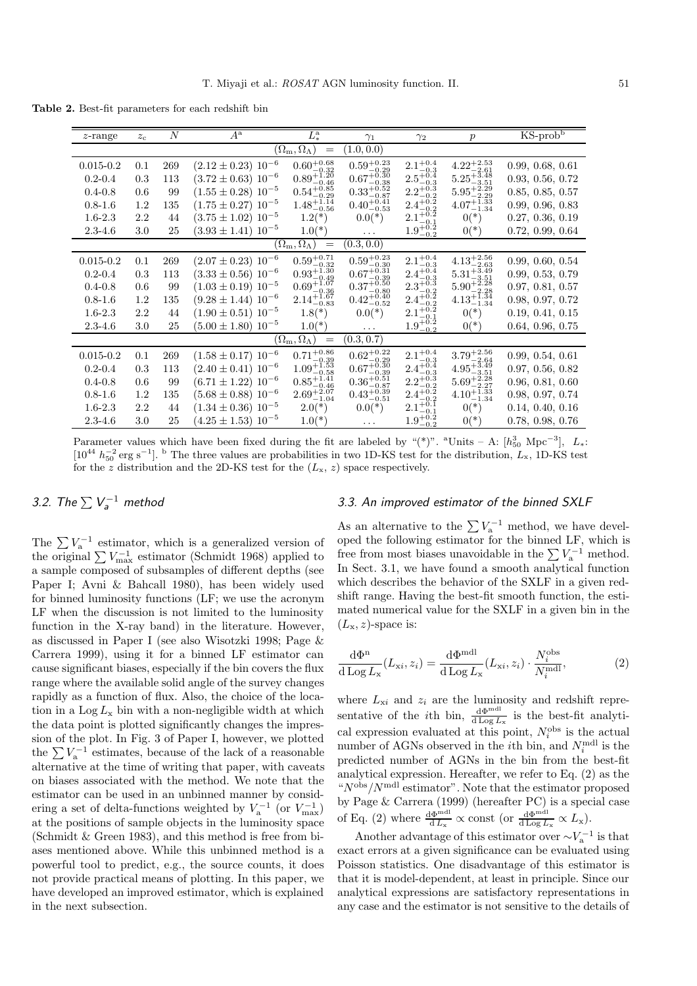**Table 2.** Best-fit parameters for each redshift bin

| $z$ -range                                                                             | $z_c$   | $\boldsymbol{N}$ | $A^{\rm a}$                 | $L^{\rm a}_*$                                    | $\gamma_1$                                       | $\gamma_2$                                 | $\boldsymbol{p}$                             | $KS$ -prob $b$   |  |
|----------------------------------------------------------------------------------------|---------|------------------|-----------------------------|--------------------------------------------------|--------------------------------------------------|--------------------------------------------|----------------------------------------------|------------------|--|
| $(1.0, 0.\overline{0)}$<br>$(\Omega_{\rm m},\Omega_\Lambda)$<br>$\!\!\!=\!\!\!$        |         |                  |                             |                                                  |                                                  |                                            |                                              |                  |  |
| $0.015 - 0.2$                                                                          | 0.1     | 269              | $(2.12 \pm 0.23) 10^{-6}$   | $0.60^{+0.68}_{-0.32}$<br>$0.89^{+1.20}_{-0.49}$ | $0.59^{+0.23}_{-0.29}$<br>$0.67^{+0.30}_{-0.38}$ | $2.1^{+0.4}_{-0.3}$<br>$2.5^{+0.4}_{-0.3}$ | $4.22_{-2.61}^{+2.53}$                       | 0.99, 0.68, 0.61 |  |
| $0.2 - 0.4$                                                                            | 0.3     | 113              | $(3.72 \pm 0.63) 10^{-6}$   |                                                  |                                                  |                                            | $5.25_{-3.51}^{+5.48}$                       | 0.93, 0.56, 0.72 |  |
| $0.4 - 0.8$                                                                            | 0.6     | 99               | $(1.55 \pm 0.28) 10^{-5}$   | $0.54_{-0.29}^{+0.85}$                           | $0.33_{-0.87}^{+0.52}$<br>0.40 <sup>+0.41</sup>  | $2.2_{-0.2}^{+0.3}$<br>$2.4_{-0.2}^{+0.3}$ | $5.95_{-2.29}^{+2.29}$                       | 0.85, 0.85, 0.57 |  |
| $0.8 - 1.6$                                                                            | 1.2     | 135              | $(1.75 \pm 0.27) 10^{-5}$   | $1.48^{+1.14}_{-0.56}$                           |                                                  |                                            | $4.07^{+1.33}_{-1.34}$                       | 0.99, 0.96, 0.83 |  |
| $1.6 - 2.3$                                                                            | 2.2     | 44               | $(3.75 \pm 1.02) 10^{-5}$   | $1.2(*)$                                         | $0.0(*)$                                         | $2.1^{+0.2}_{-0.1}$                        | $0(*)$                                       | 0.27, 0.36, 0.19 |  |
| $2.3 - 4.6$                                                                            | $3.0\,$ | 25               | $(3.93 \pm 1.41) 10^{-5}$   | $1.0(*)$                                         | .                                                | $1.9^{+0.2}_{-0.2}$                        | $0(*)$                                       | 0.72, 0.99, 0.64 |  |
| $(\Omega_{\rm m},\Omega_\Lambda)$<br>(0.3, 0.0)<br>$\hspace*{0.4em} = \hspace*{0.4em}$ |         |                  |                             |                                                  |                                                  |                                            |                                              |                  |  |
| $0.015 - 0.2$                                                                          | 0.1     | 269              | $(2.07 \pm 0.23) 10^{-6}$   | $0.59^{+0.71}_{-0.32}$                           | $0.59^{+0.23}_{-0.30}$                           | $2.1^{+0.4}_{-0.3}$                        | $4.13_{-2.63}^{+2.56}$                       | 0.99, 0.60, 0.54 |  |
| $0.2 - 0.4$                                                                            | 0.3     | 113              | $(3.33 \pm 0.56) 10^{-6}$   | $0.93_{-0.49}^{+1.30}$                           | $0.67^{+0.31}_{-0.39}$                           | $2.4^{+0.4}_{-0.3}$                        | $5.31^{+3.49}_{-3.51}$                       | 0.99, 0.53, 0.79 |  |
| $0.4 - 0.8$                                                                            | 0.6     | 99               | $(1.03 \pm 0.19) 10^{-5}$   | $0.69^{+1.07}_{-0.36}$                           | $0.37^{+0.50}_{-0.80}$                           | $2.3^{+0.3}_{-0.2}$                        | $5.90_{-2.28}^{+2.28}$                       | 0.97, 0.81, 0.57 |  |
| $0.8 - 1.6$                                                                            | $1.2\,$ | 135              | $(9.28 \pm 1.44) 10^{-6}$   | $2.14_{-0.83}^{+1.67}$                           | $0.42^{+0.40}_{-0.52}$                           | $2.4^{+0.2}_{-0.2}$                        | $4.13_{-1.34}^{+1.34}$                       | 0.98, 0.97, 0.72 |  |
| $1.6 - 2.3$                                                                            | 2.2     | 44               | $(1.90 \pm 0.51) 10^{-5}$   | $1.8(*)$                                         | $0.0(*)$                                         | $2.1^{+0.2}_{-0.1}$                        | $0(*)$                                       | 0.19, 0.41, 0.15 |  |
| $2.3 - 4.6$                                                                            | 3.0     | 25               | $(5.00 \pm 1.80) 10^{-5}$   | $1.0(*)$                                         | $\cdots$                                         | $1.9^{+0.2}_{-0.2}$                        | $0(*)$                                       | 0.64, 0.96, 0.75 |  |
| $(\Omega_{\rm m},\Omega_\Lambda)$<br>(0.3, 0.7)<br>$\displaystyle \qquad \qquad =$     |         |                  |                             |                                                  |                                                  |                                            |                                              |                  |  |
| $0.015 - 0.2$                                                                          | 0.1     | 269              | $(1.58 \pm 0.17) 10^{-6}$   | $0.71^{+0.86}_{-0.39}$                           | $0.62^{+0.22}_{-0.29}$                           | $2.1^{+0.4}_{-0.3}$                        | $3.79^{+2.56}_{-2.64}$                       | 0.99, 0.54, 0.61 |  |
| $0.2 - 0.4$                                                                            | 0.3     | 113              | $(2.40 \pm 0.41) 10^{-6}$   | $1.09_{-0.58}^{+1.53}$                           | $0.67^{+0.30}_{-0.39}$                           | $2.4^{+0.4}_{-0.3}$                        | $4.95_{-3.51}^{+3.49}$                       | 0.97, 0.56, 0.82 |  |
| $0.4 - 0.8$                                                                            | 0.6     | 99               | $(6.71 \pm 1.22) 10^{-6}$   | $0.85_{-0.46}^{+1.41}$                           | $0.36_{-0.87}^{+0.51}$                           | $2.2^{+0.3}_{-0.2}$                        | $5.69^{+2.28}_{-2.27}$                       | 0.96, 0.81, 0.60 |  |
| $0.8 - 1.6$                                                                            | $1.2\,$ | 135              | $(5.68 \pm 0.88) 10^{-6}$   | $2.69^{+2.07}_{-1.04}$                           | $0.43^{+0.39}_{-0.51}$                           | $2.4^{+0.2}_{-0.2}$                        | $4.10^{+\overline{1}.\overline{3}3}_{-1.34}$ | 0.98, 0.97, 0.74 |  |
| $1.6 - 2.3$                                                                            | 2.2     | 44               | $(1.34 \pm 0.36) 10^{-5}$   | $2.0(*)$                                         | $0.0(*)$                                         | $2.1^{+0.1}_{-0.1}$                        | $0(*)$                                       | 0.14, 0.40, 0.16 |  |
| $2.3 - 4.6$                                                                            | 3.0     | 25               | $(4.25 \pm 1.53)$ $10^{-5}$ | $1.0(*)$                                         | $\cdots$                                         | $1.9^{+0.2}_{-0.2}$                        | $0(*)$                                       | 0.78, 0.98, 0.76 |  |

Parameter values which have been fixed during the fit are labeled by "(\*)". <sup>a</sup>Units – A:  $[h_{50}^3 \text{ Mpc}^{-3}]$ ,  $L_*$ :  $[10^{44} h_{50}^{-2} \text{ erg s}^{-1}]$ . <sup>b</sup> The three values are probabilities in two 1D-KS test for the distribution,  $L_x$ , 1D-KS test for the z distribution and the 2D-KS test for the  $(L_x, z)$  space respectively.

# 3.2. The  $\sum V_n^{-1}$  method

The  $\sum V_{\rm a}^{-1}$  estimator, which is a generalized version of the original  $\sum V_{\text{max}}^{-1}$  estimator (Schmidt 1968) applied to a sample composed of subsamples of different depths (see Paper I; Avni & Bahcall 1980), has been widely used for binned luminosity functions (LF; we use the acronym LF when the discussion is not limited to the luminosity function in the X-ray band) in the literature. However, as discussed in Paper I (see also Wisotzki 1998; Page & Carrera 1999), using it for a binned LF estimator can cause significant biases, especially if the bin covers the flux range where the available solid angle of the survey changes rapidly as a function of flux. Also, the choice of the location in a  $\text{Log } L_{\mathbf{x}}$  bin with a non-negligible width at which the data point is plotted significantly changes the impression of the plot. In Fig. 3 of Paper I, however, we plotted the  $\sum V_{\alpha}^{-1}$  estimates, because of the lack of a reasonable alternative at the time of writing that paper, with caveats on biases associated with the method. We note that the estimator can be used in an unbinned manner by considering a set of delta-functions weighted by  $V_a^{-1}$  (or  $V_{\text{max}}^{-1}$ ) at the positions of sample objects in the luminosity space (Schmidt & Green 1983), and this method is free from biases mentioned above. While this unbinned method is a powerful tool to predict, e.g., the source counts, it does not provide practical means of plotting. In this paper, we have developed an improved estimator, which is explained in the next subsection.

### 3.3. An improved estimator of the binned SXLF

As an alternative to the  $\sum V_{\rm a}^{-1}$  method, we have developed the following estimator for the binned LF, which is free from most biases unavoidable in the  $\sum V_a^{-1}$  method. In Sect. 3.1, we have found a smooth analytical function which describes the behavior of the SXLF in a given redshift range. Having the best-fit smooth function, the estimated numerical value for the SXLF in a given bin in the  $(L_{\rm x}, z)$ -space is:

$$
\frac{\mathrm{d}\Phi^{\mathrm{n}}}{\mathrm{d}\log L_{\mathrm{x}}}(L_{\mathrm{x}i},z_{i}) = \frac{\mathrm{d}\Phi^{\mathrm{mdl}}}{\mathrm{d}\log L_{\mathrm{x}}}(L_{\mathrm{x}i},z_{i}) \cdot \frac{N_{i}^{\mathrm{obs}}}{N_{i}^{\mathrm{mdl}}},\tag{2}
$$

where  $L_{xi}$  and  $z_i$  are the luminosity and redshift representative of the *i*th bin,  $\frac{d\Phi^{mdl}}{d\log L_x}$  is the best-fit analytical expression evaluated at this point,  $N_i^{\text{obs}}$  is the actual number of AGNs observed in the *i*<sup>th</sup> bin, and  $N_i^{\text{mdl}}$  is the predicted number of AGNs in the bin from the best-fit analytical expression. Hereafter, we refer to Eq. (2) as the " $N^{\text{obs}}/N^{\text{mdl}}$  estimator". Note that the estimator proposed by Page & Carrera (1999) (hereafter PC) is a special case of Eq. (2) where  $\frac{d\Phi^{mdl}}{d L_x} \propto$  const (or  $\frac{d\Phi^{mdl}}{d \log L_x} \propto L_x$ ).

Another advantage of this estimator over  $\sim V_a^{-1}$  is that exact errors at a given significance can be evaluated using Poisson statistics. One disadvantage of this estimator is that it is model-dependent, at least in principle. Since our analytical expressions are satisfactory representations in any case and the estimator is not sensitive to the details of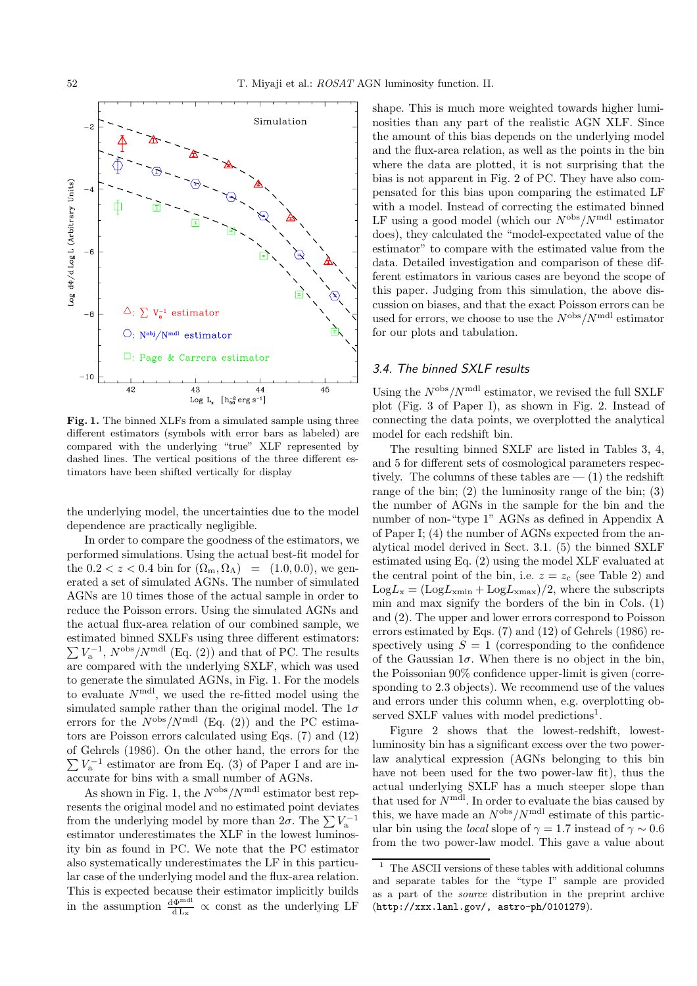

**Fig. 1.** The binned XLFs from a simulated sample using three different estimators (symbols with error bars as labeled) are compared with the underlying "true" XLF represented by dashed lines. The vertical positions of the three different estimators have been shifted vertically for display

the underlying model, the uncertainties due to the model dependence are practically negligible.

In order to compare the goodness of the estimators, we performed simulations. Using the actual best-fit model for the  $0.2 < z < 0.4$  bin for  $(\Omega_{\rm m}, \Omega_{\Lambda}) = (1.0, 0.0)$ , we generated a set of simulated AGNs. The number of simulated AGNs are 10 times those of the actual sample in order to reduce the Poisson errors. Using the simulated AGNs and the actual flux-area relation of our combined sample, we estimated binned SXLFs using three different estimators:  $\sum V_{\rm a}^{-1}$ ,  $N^{\rm obs}/N^{\rm md}$  (Eq. (2)) and that of PC. The results are compared with the underlying SXLF, which was used to generate the simulated AGNs, in Fig. 1. For the models to evaluate  $N<sup>mdl</sup>$ , we used the re-fitted model using the simulated sample rather than the original model. The  $1\sigma$ errors for the  $N^{\text{obs}}/N^{\text{mdl}}$  (Eq. (2)) and the PC estimators are Poisson errors calculated using Eqs. (7) and (12) of Gehrels (1986). On the other hand, the errors for the  $\sum V_{\rm a}^{-1}$  estimator are from Eq. (3) of Paper I and are inaccurate for bins with a small number of AGNs.

As shown in Fig. 1, the  $N^{\text{obs}}/N^{\text{mdl}}$  estimator best represents the original model and no estimated point deviates from the underlying model by more than  $2\sigma$ . The  $\sum V_{\rm a}^{-1}$ estimator underestimates the XLF in the lowest luminosity bin as found in PC. We note that the PC estimator also systematically underestimates the LF in this particular case of the underlying model and the flux-area relation. This is expected because their estimator implicitly builds in the assumption  $\frac{d\Phi^{mdl}}{dL_x} \propto$  const as the underlying LF

shape. This is much more weighted towards higher luminosities than any part of the realistic AGN XLF. Since the amount of this bias depends on the underlying model and the flux-area relation, as well as the points in the bin where the data are plotted, it is not surprising that the bias is not apparent in Fig. 2 of PC. They have also compensated for this bias upon comparing the estimated LF with a model. Instead of correcting the estimated binned LF using a good model (which our  $N^{\text{obs}}/N^{\text{mdl}}$  estimator does), they calculated the "model-expectated value of the estimator" to compare with the estimated value from the data. Detailed investigation and comparison of these different estimators in various cases are beyond the scope of this paper. Judging from this simulation, the above discussion on biases, and that the exact Poisson errors can be used for errors, we choose to use the  $N^{\text{obs}}/N^{\text{mdl}}$  estimator for our plots and tabulation.

### 3.4. The binned SXLF results

Using the  $N^{\text{obs}}/N^{\text{mdl}}$  estimator, we revised the full SXLF plot (Fig. 3 of Paper I), as shown in Fig. 2. Instead of connecting the data points, we overplotted the analytical model for each redshift bin.

The resulting binned SXLF are listed in Tables 3, 4, and 5 for different sets of cosmological parameters respectively. The columns of these tables are  $-$  (1) the redshift range of the bin; (2) the luminosity range of the bin; (3) the number of AGNs in the sample for the bin and the number of non-"type 1" AGNs as defined in Appendix A of Paper I; (4) the number of AGNs expected from the analytical model derived in Sect. 3.1. (5) the binned SXLF estimated using Eq. (2) using the model XLF evaluated at the central point of the bin, i.e.  $z = z_c$  (see Table 2) and  $Log L_x = (Log L_{xmin} + Log L_{xmax})/2$ , where the subscripts min and max signify the borders of the bin in Cols. (1) and (2). The upper and lower errors correspond to Poisson errors estimated by Eqs. (7) and (12) of Gehrels (1986) respectively using  $S = 1$  (corresponding to the confidence of the Gaussian  $1\sigma$ . When there is no object in the bin, the Poissonian 90% confidence upper-limit is given (corresponding to 2.3 objects). We recommend use of the values and errors under this column when, e.g. overplotting observed SXLF values with model predictions<sup>1</sup>.

Figure 2 shows that the lowest-redshift, lowestluminosity bin has a significant excess over the two powerlaw analytical expression (AGNs belonging to this bin have not been used for the two power-law fit), thus the actual underlying SXLF has a much steeper slope than that used for  $N^{\text{mdl}}$ . In order to evaluate the bias caused by this, we have made an  $N^{\text{obs}}/N^{\text{mdl}}$  estimate of this particular bin using the *local* slope of  $\gamma = 1.7$  instead of  $\gamma \sim 0.6$ from the two power-law model. This gave a value about

 $1$  The ASCII versions of these tables with additional columns and separate tables for the "type I" sample are provided as a part of the source distribution in the preprint archive (http://xxx.lanl.gov/, astro-ph/0101279).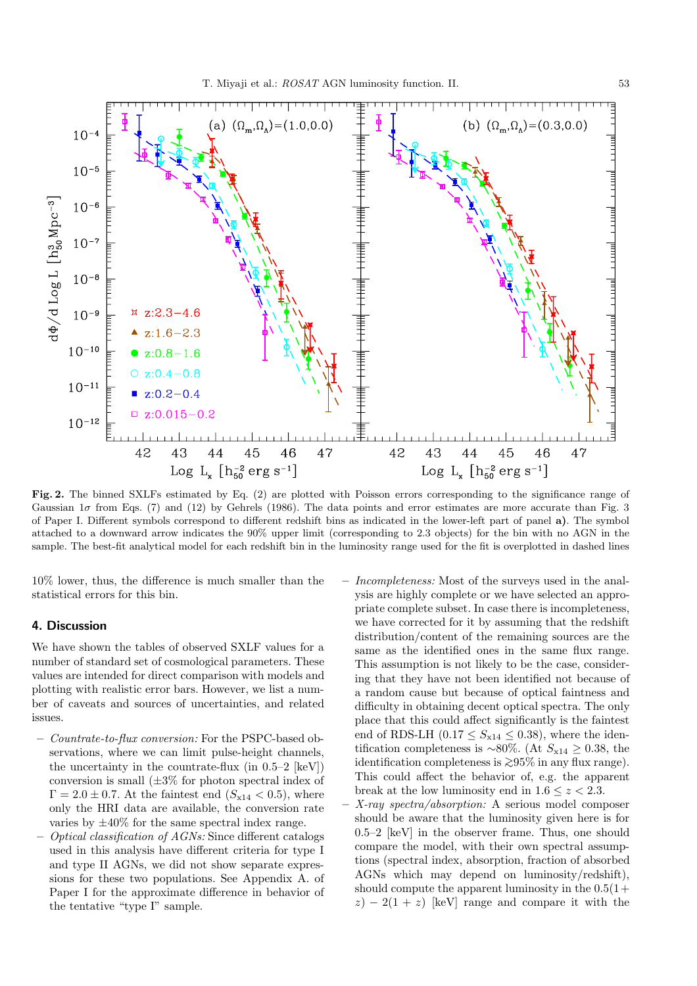

**Fig. 2.** The binned SXLFs estimated by Eq. (2) are plotted with Poisson errors corresponding to the significance range of Gaussian  $1\sigma$  from Eqs. (7) and (12) by Gehrels (1986). The data points and error estimates are more accurate than Fig. 3 of Paper I. Different symbols correspond to different redshift bins as indicated in the lower-left part of panel **a)**. The symbol attached to a downward arrow indicates the 90% upper limit (corresponding to 2.3 objects) for the bin with no AGN in the sample. The best-fit analytical model for each redshift bin in the luminosity range used for the fit is overplotted in dashed lines

10% lower, thus, the difference is much smaller than the statistical errors for this bin.

### **4. Discussion**

We have shown the tables of observed SXLF values for a number of standard set of cosmological parameters. These values are intended for direct comparison with models and plotting with realistic error bars. However, we list a number of caveats and sources of uncertainties, and related issues.

- **–** Countrate-to-flux conversion: For the PSPC-based observations, where we can limit pulse-height channels, the uncertainty in the countrate-flux (in  $0.5-2$  [keV]) conversion is small  $(\pm 3\%$  for photon spectral index of  $\Gamma = 2.0 \pm 0.7$ . At the faintest end  $(S_{x14} < 0.5)$ , where only the HRI data are available, the conversion rate varies by  $\pm 40\%$  for the same spectral index range.
- **–** Optical classification of AGNs: Since different catalogs used in this analysis have different criteria for type I and type II AGNs, we did not show separate expressions for these two populations. See Appendix A. of Paper I for the approximate difference in behavior of the tentative "type I" sample.
- **–** Incompleteness: Most of the surveys used in the analysis are highly complete or we have selected an appropriate complete subset. In case there is incompleteness, we have corrected for it by assuming that the redshift distribution/content of the remaining sources are the same as the identified ones in the same flux range. This assumption is not likely to be the case, considering that they have not been identified not because of a random cause but because of optical faintness and difficulty in obtaining decent optical spectra. The only place that this could affect significantly is the faintest end of RDS-LH  $(0.17 \leq S_{x14} \leq 0.38)$ , where the identification completeness is ~80%. (At  $S_{x14} \geq 0.38$ , the identification completeness is <sup>&</sup>gt;∼95% in any flux range). This could affect the behavior of, e.g. the apparent break at the low luminosity end in  $1.6 \leq z \leq 2.3$ .
- **–** X-ray spectra/absorption: A serious model composer should be aware that the luminosity given here is for 0.5–2 [keV] in the observer frame. Thus, one should compare the model, with their own spectral assumptions (spectral index, absorption, fraction of absorbed AGNs which may depend on luminosity/redshift), should compute the apparent luminosity in the  $0.5(1+)$  $z$ ) − 2(1 + z) [keV] range and compare it with the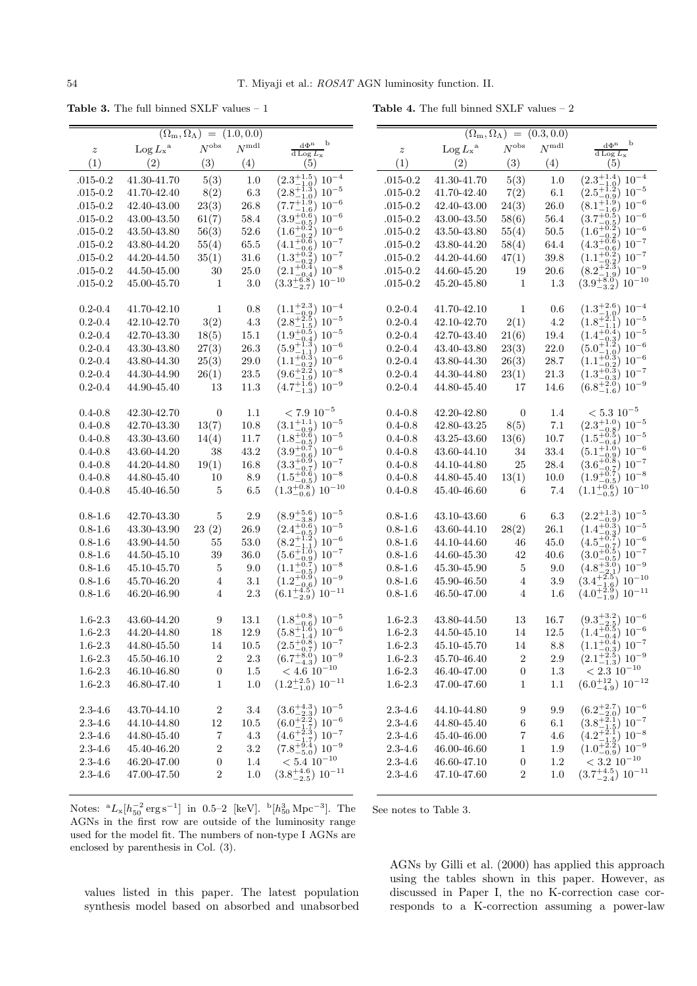**Table 3.** The full binned SXLF values – 1

**Table 4.** The full binned SXLF values – 2

| $(\Omega_{\rm m},\Omega_{\Lambda})$<br>(1.0, 0.0)<br>$\, = \,$ |                                       |                    |                |                                                                                                       | $(\Omega_{\rm m},\overline{\Omega_\Lambda})$ | $=$                                           | (0.3, 0.0)       |                |                                                                          |
|----------------------------------------------------------------|---------------------------------------|--------------------|----------------|-------------------------------------------------------------------------------------------------------|----------------------------------------------|-----------------------------------------------|------------------|----------------|--------------------------------------------------------------------------|
|                                                                |                                       |                    | $N^{\rm{mdl}}$ | $\mathrm{d}\Phi^n$ $\quad$ b                                                                          |                                              |                                               | $N^{\rm obs}$    | $N^{\rm{mdl}}$ | $d\Phi^n$ b                                                              |
| $\boldsymbol{z}$                                               | $\operatorname{Log} L_{\mathbf{x}}$ a | $N^{\mathrm{obs}}$ |                | $d$ Log $L_{\rm X}$                                                                                   | $\boldsymbol{z}$                             | $\operatorname{Log} L_{\mathbf{x}}{}^{\rm a}$ |                  |                | d Log $L_{\rm x}$                                                        |
| (1)                                                            | (2)                                   | (3)                | (4)            | (5)                                                                                                   | (1)                                          | (2)                                           | (3)              | (4)            | (5)                                                                      |
| $.015 - 0.2$                                                   | 41.30-41.70                           | 5(3)               | 1.0            | $(2.3^{+1.5}_{-1.0})$ $10^{-4}$                                                                       | $.015 - 0.2$                                 | 41.30-41.70                                   | 5(3)             | 1.0            | $(2.3^{+1.4}_{-1.0})$<br>$10^{-4}$                                       |
| $.015 - 0.2$                                                   | 41.70-42.40                           | 8(2)               | 6.3            | $(2.8^{+1.3}_{-1.0})$ 10 <sup>-5</sup>                                                                | $.015 - 0.2$                                 | 41.70-42.40                                   | 7(2)             | 6.1            | $(2.5^{+1.2}_{-0.9})$ 10 <sup>-5</sup>                                   |
| $.015 - 0.2$                                                   | 42.40-43.00                           | 23(3)              | 26.8           | $(7.7^{+1.9}_{-1.6})$<br>$10^{-6}$                                                                    | $.015 - 0.2$                                 | 42.40-43.00                                   | 24(3)            | 26.0           | $(8.1^{+1.9}_{-1.6})$ 10 <sup>-6</sup>                                   |
| $.015 - 0.2$                                                   | 43.00-43.50                           | 61(7)              | 58.4           | $(3.9^{+0.6}_{-0.5})$<br>$10^{-6}$                                                                    | $.015 - 0.2$                                 | 43.00-43.50                                   | 58(6)            | 56.4           | $(3.7^{+0.5}_{-0.5})$<br>$10^{-6}$                                       |
| $.015 - 0.2$                                                   | 43.50-43.80                           | 56(3)              | 52.6           | $(3.9-0.5)$<br>$(1.6^{+0.2}_{-0.2})$<br>$10^{-6}$                                                     | $.015 - 0.2$                                 | 43.50-43.80                                   | 55(4)            | 50.5           | $(1.6_{-0.2}^{+0.2})$<br>$10^{-6}$                                       |
| $.015 - 0.2$                                                   | 43.80-44.20                           | 55(4)              | $65.5\,$       |                                                                                                       | $.015 - 0.2$                                 | 43.80-44.20                                   | 58(4)            | 64.4           | $(4.3^{+0.6}_{-0.6})$ $10^{-7}$<br>$(1.1^{+0.2}_{-0.2})$ $10^{-7}$       |
| $.015 - 0.2$                                                   | 44.20-44.50                           | 35(1)              | 31.6           |                                                                                                       | $.015 - 0.2$                                 | 44.20-44.60                                   | 47(1)            | 39.8           |                                                                          |
| $.015 - 0.2$                                                   | 44.50-45.00                           | 30                 | 25.0           | $(4.1^{+0.6}_{-0.6})$ $10^{-7}$<br>$(1.3^{+0.2}_{-0.2})$ $10^{-7}$<br>$(2.1^{+0.4}_{-0.4})$ $10^{-8}$ | $.015 - 0.2$                                 | 44.60-45.20                                   | 19               | 20.6           | $(8.2^{+2.3}_{-1.9})$<br>$10^{-9}$                                       |
| $.015 - 0.2$                                                   | 45.00-45.70                           | $\mathbf{1}$       | 3.0            | $(3.3^{+6.8}_{-2.7})$ $10^{-10}$                                                                      | $.015 - 0.2$                                 | 45.20-45.80                                   | 1                | 1.3            | $(3.9^{+8.0}_{-3.2})$<br>$10^{-10}$                                      |
|                                                                |                                       |                    |                |                                                                                                       |                                              |                                               |                  |                |                                                                          |
| $0.2 - 0.4$                                                    | 41.70-42.10                           | 1                  | 0.8            | $(1.1^{+2.3}_{-0.9}) 10^{-4}$                                                                         | $0.2 - 0.4$                                  | 41.70-42.10                                   | 1                | 0.6            | $(1.3^{+2.6}_{-1.0})$ $10^{-4}$                                          |
| $0.2 - 0.4$                                                    | 42.10-42.70                           | 3(2)               | 4.3            |                                                                                                       | $0.2 - 0.4$                                  | 42.10-42.70                                   | 2(1)             | $4.2\,$        | $(1.8^{+2.1}_{-1.1})$ $10^{-5}$                                          |
| $0.2 - 0.4$                                                    | 42.70-43.30                           | 18(5)              | $15.1\,$       |                                                                                                       | $0.2 - 0.4$                                  | 42.70-43.40                                   | 21(6)            | 19.4           |                                                                          |
| $0.2 - 0.4$                                                    | 43.30-43.80                           | 27(3)              | 26.3           | $(2.8^{+2.5}_{-1.5})$ $10^{-5}$<br>$(1.9^{+0.5}_{-0.4})$ $10^{-5}$<br>$(5.9^{+1.3}_{-1.1})$ $10^{-6}$ | $0.2 - 0.4$                                  | 43.40-43.80                                   | 23(3)            | 22.0           | $(1.4\frac{+6.4}{-0.3})$ $10^{-5}$<br>$(5.0\frac{+1.2}{-1.9})$ $10^{-6}$ |
| $0.2 - 0.4$                                                    | 43.80-44.30                           | 25(3)              | 29.0           | $(1.1^{+0.3}_{-0.2})$ 10 <sup>-6</sup>                                                                | $0.2 - 0.4$                                  | 43.80-44.30                                   | 26(3)            | 28.7           | $(1.1\frac{+6.3}{-0.2})$ $10^{-6}$<br>$(1.3\frac{+0.3}{-0.3})$ $10^{-7}$ |
| $0.2 - 0.4$                                                    | 44.30-44.90                           | 26(1)              | 23.5           | $(9.6^{+2.2}_{-1.9})$ 10 <sup>-8</sup>                                                                | $0.2 - 0.4$                                  | 44.30-44.80                                   | 23(1)            | 21.3           |                                                                          |
| $0.2 - 0.4$                                                    | 44.90-45.40                           | 13                 | 11.3           | $(4.7^{+1.6}_{-1.3})$ $10^{-9}$                                                                       | $0.2 - 0.4$                                  | 44.80-45.40                                   | 17               | 14.6           | $(6.8^{+2.0}_{-1.6})$<br>$10^{-9}$                                       |
|                                                                |                                       |                    |                |                                                                                                       |                                              |                                               |                  |                |                                                                          |
| $0.4 - 0.8$                                                    | 42.30-42.70                           | $\boldsymbol{0}$   | 1.1            | $< 7.9\ 10^{-5}$                                                                                      | $0.4 - 0.8$                                  | 42.20-42.80                                   | $\overline{0}$   | 1.4            | $< 5.3\ 10^{-5}$                                                         |
| $0.4 - 0.8$                                                    | 42.70-43.30                           | 13(7)              | 10.8           | $(3.1^{+1.1}_{-0.9})$ $10^{-5}$                                                                       | $0.4 - 0.8$                                  | 42.80-43.25                                   | 8(5)             | $7.1\,$        | $(2.3^{+1.0}_{-0.8})$ $10^{-5}$                                          |
| $0.4 - 0.8$                                                    | 43.30-43.60                           | 14(4)              | 11.7           | $(1.8^{+0.6}_{-0.5})$ $10^{-5}$                                                                       | $0.4 - 0.8$                                  | 43.25-43.60                                   | 13(6)            | 10.7           | $(1.5^{+0.5}_{-0.4})$ 10 <sup>-5</sup>                                   |
| $0.4 - 0.8$                                                    | 43.60-44.20                           | 38                 | 43.2           | $(3.9^{+0.7}_{-0.6})$ 10 <sup>-6</sup>                                                                | $0.4 - 0.8$                                  | 43.60-44.10                                   | 34               | 33.4           | $(5.1^{+1.0}_{-0.9})$ $10^{-6}$                                          |
| $0.4 - 0.8$                                                    | 44.20-44.80                           | 19(1)              | 16.8           | $(3.3^{+0.9}_{-0.7})$ $10^{-7}$                                                                       | $0.4 - 0.8$                                  | 44.10-44.80                                   | 25               | 28.4           |                                                                          |
| $0.4 - 0.8$                                                    | 44.80-45.40                           | 10                 | 8.9            | $(1.5^{+0.6}_{-0.5})$<br>$10^{-8}$                                                                    | $0.4 - 0.8$                                  | 44.80-45.40                                   | 13(1)            | 10.0           | $(3.6^{+0.8}_{-0.7})$ $10^{-7}$<br>$(1.9^{+0.7}_{-0.5})$ $10^{-8}$       |
| $0.4 - 0.8$                                                    | 45.40-46.50                           | 5                  | 6.5            | $(1.3^{+0.8}_{-0.6})$ $10^{-10}$                                                                      | $0.4 - 0.8$                                  | 45.40-46.60                                   | 6                | 7.4            | $(1.1^{+0.6}_{-0.5})$ 10 <sup>-10</sup>                                  |
|                                                                |                                       |                    |                |                                                                                                       |                                              |                                               |                  |                |                                                                          |
| $0.8 - 1.6$                                                    | 42.70-43.30                           | $\bf 5$            | 2.9            | $(8.9^{+5.6}_{-3.8})$ $10^{-5}$                                                                       | $0.8 - 1.6$                                  | 43.10-43.60                                   | 6                | 6.3            | $(2.2^{+1.3}_{-0.9})$ 10 <sup>-5</sup>                                   |
| $0.8 - 1.6$                                                    | 43.30-43.90                           | 23(2)              | 26.9           | $(2.4^{+0.6}_{-0.5})$ 10 <sup>-5</sup>                                                                | $0.8 - 1.6$                                  | 43.60-44.10                                   | 28(2)            | 26.1           | $(1.4^{+0.3}_{-0.3})$ $10^{-5}$                                          |
| $0.8 - 1.6$                                                    | 43.90-44.50                           | 55                 | 53.0           | $(8.2^{+1.2}_{-1.1})$ 10 <sup>-6</sup>                                                                | $0.8 - 1.6$                                  | 44.10-44.60                                   | 46               | 45.0           | $(4.5^{+0.7}_{-0.7})$ $10^{-6}$                                          |
| $0.8 - 1.6$                                                    | 44.50-45.10                           | 39                 | 36.0           | $(5.6^{+1.0}_{-0.9})$ $10^{-7}$                                                                       | $0.8 - 1.6$                                  | 44.60-45.30                                   | 42               | 40.6           | $(3.0^{+0.5}_{-0.5})$ $10^{-7}$                                          |
| $0.8 - 1.6$                                                    | 45.10-45.70                           | $\overline{5}$     | 9.0            | $(1.1^{+0.7}_{-0.5})$ $10^{-8}$                                                                       | $0.8 - 1.6$                                  | 45.30-45.90                                   | 5                | 9.0            | $(4.8^{+3.0}_{-2.1})$ $10^{-9}$                                          |
| $0.8 - 1.6$                                                    | 45.70-46.20                           | $\overline{4}$     | 3.1            | $(1.2^{+0.9}_{-0.6})$ $10^{-9}$                                                                       | $0.8 - 1.6$                                  | 45.90-46.50                                   | 4                | 3.9            |                                                                          |
| $0.8 - 1.6$                                                    | 46.20-46.90                           | $\overline{4}$     | 2.3            | $(6.1^{+4.5}_{-2.9}) 10^{-11}$                                                                        | $0.8 - 1.6$                                  | 46.50-47.00                                   | 4                | 1.6            | $(3.4^{+2.5}_{-1.6})$ $10^{-10}$<br>$(4.0^{+2.9}_{-1.9})$ $10^{-11}$     |
|                                                                |                                       |                    |                |                                                                                                       |                                              |                                               |                  |                |                                                                          |
| $1.6 - 2.3$                                                    | 43.60-44.20                           | 9                  | 13.1           | $(1.8^{+0.8}_{-0.6})$ $10^{-5}$                                                                       | $1.6 - 2.3$                                  | 43.80-44.50                                   | 13               | 16.7           | $(9.3^{+3.2}_{-2.5})$ $10^{-6}$                                          |
| $1.6 - 2.3$                                                    | 44.20-44.80                           | 18                 | 12.9           | $(5.8^{+1.8}_{-1.4})$ 10 <sup>-6</sup>                                                                | $1.6 - 2.3$                                  | 44.50-45.10                                   | 14               | 12.5           | $(1.4^{+0.5}_{-0.4})$ 10 <sup>-6</sup>                                   |
| $1.6 - 2.3$                                                    | $44.80 - 45.50$                       | $14\,$             | $10.5\,$       | $(2.5^{+0.8}_{-0.7})$ 10 <sup>-7</sup>                                                                | $1.6 - 2.3$                                  | 45.10-45.70                                   | $14\,$           | 8.8            | $(1.1^{+0.4}_{-0.3})$ $10^{-7}$                                          |
| $1.6 - 2.3$                                                    | 45.50-46.10                           | $\boldsymbol{2}$   | 2.3            | $(6.7^{+8.0}_{-4.3})$ $10^{-9}$                                                                       | $1.6 - 2.3$                                  | 45.70-46.40                                   | $\boldsymbol{2}$ | $2.9\,$        | $(2.1^{+2.5}_{-1.3})\ 10^{-9}$                                           |
| $1.6 - 2.3$                                                    | 46.10-46.80                           | $\boldsymbol{0}$   | 1.5            | $< 4.6\ 10^{-10}$                                                                                     | $1.6 - 2.3$                                  | 46.40-47.00                                   | 0                | $1.3\,$        | $< 2.3\ 10^{-10}$                                                        |
| $1.6 - 2.3$                                                    | 46.80-47.40                           | 1                  | 1.0            | $(1.2^{+2.5}_{-1.0})$ $10^{-11}$                                                                      | $1.6 - 2.3$                                  | 47.00-47.60                                   | $\mathbf 1$      | 1.1            | $(6.0^{+12}_{-4.9})$ $10^{-12}$                                          |
|                                                                |                                       |                    |                |                                                                                                       |                                              |                                               |                  |                |                                                                          |
| $2.3 - 4.6$                                                    | 43.70-44.10                           | 2                  | 3.4            |                                                                                                       | $2.3 - 4.6$                                  | 44.10-44.80                                   | 9                | 9.9            | $(6.2^{+2.7}_{-2.0})$ $10^{-6}$                                          |
| $2.3 - 4.6$                                                    | 44.10-44.80                           | $12\,$             | $10.5\,$       | $(3.6^{+4.3}_{-2.3})$ $10^{-5}$<br>$(6.0^{+2.2}_{-1.7})$ $10^{-6}$                                    | $2.3\mbox{-} 4.6$                            | 44.80-45.40                                   | 6                | $6.1\,$        | $(3.8^{+2.1}_{-1.5})$ $10^{-7}$                                          |
| $2.3 - 4.6$                                                    | 44.80-45.40                           | 7                  | $4.3\,$        |                                                                                                       | $2.3 - 4.6$                                  | 45.40-46.00                                   | 7                | 4.6            |                                                                          |
| $2.3 - 4.6$                                                    | 45.40-46.20                           | $\boldsymbol{2}$   | $3.2\,$        | $(4.6^{+2.3}_{-1.7})$ $10^{-7}$<br>$(7.8^{+9.4}_{-5.0})$ $10^{-9}$                                    | $2.3 - 4.6$                                  | 46.00-46.60                                   | $\,1$            | 1.9            | $(4.2\frac{+2.3}{-1.5})$ $10^{-8}$<br>$(1.0\frac{+2.2}{-0.9})$ $10^{-9}$ |
| $2.3 - 4.6$                                                    | 46.20-47.00                           | $\boldsymbol{0}$   | 1.4            | $< 5.4\ 10^{-10}$                                                                                     | $2.3 - 4.6$                                  | 46.60-47.10                                   | $\boldsymbol{0}$ | 1.2            | $< 3.2 \ 10^{-10}$                                                       |
| $2.3 - 4.6$                                                    | 47.00-47.50                           | $\overline{2}$     | 1.0            | $(3.8^{+4.6}_{-2.5})$ $10^{-11}$                                                                      | $2.3 - 4.6$                                  | 47.10-47.60                                   | $\boldsymbol{2}$ | 1.0            | $(3.7^{+4.5}_{-2.4})$ $10^{-11}$                                         |
|                                                                |                                       |                    |                |                                                                                                       |                                              |                                               |                  |                |                                                                          |
|                                                                |                                       |                    |                |                                                                                                       |                                              |                                               |                  |                |                                                                          |

Notes:  ${}^{a}L_{x} [h_{50}^{-2} \text{ erg s}^{-1}]$  in 0.5–2 [keV].  ${}^{b}[h_{50}^{3} \text{ Mpc}^{-3}]$ . The AGNs in the first row are outside of the luminosity range used for the model fit. The numbers of non-type I AGNs are enclosed by parenthesis in Col. (3).

See notes to Table 3.

values listed in this paper. The latest population

synthesis model based on absorbed and unabsorbed

AGNs by Gilli et al. (2000) has applied this approach using the tables shown in this paper. However, as discussed in Paper I, the no K-correction case corresponds to a K-correction assuming a power-law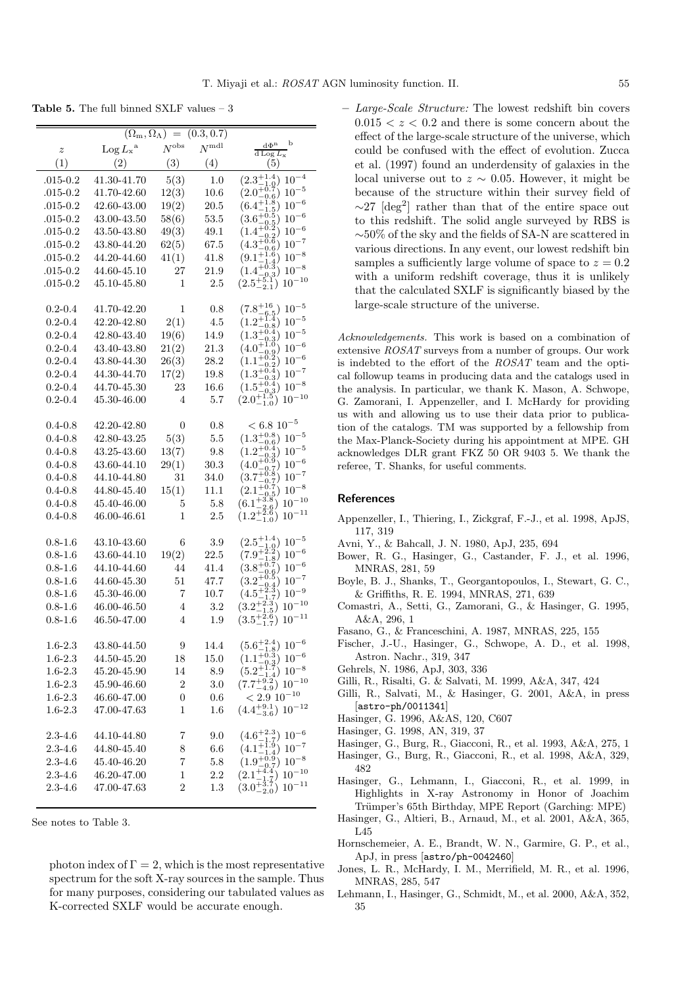**Table 5.** The full binned SXLF values – 3

| $\boldsymbol{z}$ | $\text{Log } L_x^{\text{a}}$ | $(\Omega_{\rm m}, \Omega_{\Lambda}) = (0.3, 0.7)$<br>$N^{\rm obs}$ | $N^{\text{mdl}}$ | b<br>$d\Phi^n$                                                                                                                                                                                                |
|------------------|------------------------------|--------------------------------------------------------------------|------------------|---------------------------------------------------------------------------------------------------------------------------------------------------------------------------------------------------------------|
| (1)              | (2)                          | (3)                                                                | (4)              | d Log $L_x$<br>(5)                                                                                                                                                                                            |
| $.015 - 0.2$     | 41.30-41.70                  | 5(3)                                                               | 1.0              | $(2.3^{+1.4}_{-1.2})$<br>$10^{-4}$                                                                                                                                                                            |
| $.015 - 0.2$     | 41.70-42.60                  | 12(3)                                                              | 10.6             | $(2.0^{+0.0}_{-0.0})$<br>$10^{-5}\,$                                                                                                                                                                          |
| $.015 - 0.2$     | 42.60-43.00                  | 19(2)                                                              | 20.5             | $\begin{smallmatrix} 0.6 1.8 \end{smallmatrix}$<br>$10^{-6}\,$<br>$(6.4^{+1.1}_{-1.1})$                                                                                                                       |
| $.015 - 0.2$     | 43.00-43.50                  | 58(6)                                                              | $53.5\,$         | $\frac{5}{5}$<br>$10^{-6}$<br>$(3.6^{+0.0}_{-0.0})$                                                                                                                                                           |
| $.015 - 0.2$     | 43.50-43.80                  | 49(3)                                                              | 49.1             | $(1.4^{+0.0})$<br>$10^{-6}\,$                                                                                                                                                                                 |
| $.015 - 0.2$     | 43.80-44.20                  | 62(5)                                                              | 67.5             | $(4.3^{+0.6}_{-0.6})$<br>$10^{-7}\,$                                                                                                                                                                          |
| $.015 - 0.2$     | 44.20-44.60                  | 41(1)                                                              | 41.8             | $10^{-8}\,$<br>$(9.1^{+1})$                                                                                                                                                                                   |
| $.015 - 0.2$     | 44.60-45.10                  | 27                                                                 | 21.9             | $10^{-8}\,$<br>$(1.4^{+0.1})$                                                                                                                                                                                 |
| $.015 - 0.2$     | 45.10-45.80                  | 1                                                                  | $2.5\,$          | 0.3<br>$10^{-10}$<br>$(2.5^+_-$<br>2.1                                                                                                                                                                        |
|                  |                              |                                                                    |                  |                                                                                                                                                                                                               |
| $0.2 - 0.4$      | 41.70-42.20                  | 1                                                                  | 0.8              | $(7.8 + 16)$<br>$10^{-5}$                                                                                                                                                                                     |
| $0.2 - 0.4$      | 42.20-42.80                  | 2(1)                                                               | 4.5              | $(1.2^{+1.4}_{-0.8})$<br>$10^{-5}$                                                                                                                                                                            |
| $0.2 - 0.4$      | 42.80-43.40                  | 19(6)                                                              | 14.9             | $(1.3^{+0.4}_{-0.3})$<br>$10^{-5}\,$                                                                                                                                                                          |
| $0.2 - 0.4$      | 43.40-43.80                  | 21(2)                                                              | 21.3             | $10^{-6}\,$<br>$(4.0^{+1}_{-6})$<br>$_{0.2}^{0.9}$                                                                                                                                                            |
| $0.2 - 0.4$      | 43.80-44.30                  | 26(3)                                                              | 28.2             | $10^{-6}\,$<br>$(1.1^{+\check{0}}$<br>$_{0.4}^{0.2}$                                                                                                                                                          |
| $0.2 - 0.4$      | 44.30-44.70                  | 17(2)                                                              | 19.8             | $10^{-7}\,$<br>$(1.3^{+0.0}_{-0.0})$                                                                                                                                                                          |
| $0.2 - 0.4$      | 44.70-45.30                  | 23                                                                 | 16.6             | $\overset{\circ}{\phantom{0}}\,\overset{\circ}{\phantom{0}}\,\, \overset{\circ}{\phantom{0}}\,\, \overset{\circ}{\phantom{0}}\,\, \, (1.5_{-0.3}^{+0.4}) \\ (1.5_{-0.3}^{+0.4}) \\ (2.0^{+1.8})$<br>$10^{-8}$ |
| $0.2 - 0.4$      | 45.30-46.00                  | 4                                                                  | 5.7              | $(2.0^{+1.5}_{-1.0})$<br>$10^{-10}$                                                                                                                                                                           |
| $0.4 - 0.8$      | 42.20-42.80                  | 0                                                                  | 0.8              | $< 6.8$ 10 <sup>-5</sup>                                                                                                                                                                                      |
| $0.4 - 0.8$      | 42.80-43.25                  | 5(3)                                                               | $5.5\,$          | $(1.3^{+0.8}_{-0.6})$<br>$10^{-5}$                                                                                                                                                                            |
| $0.4 - 0.8$      | 43.25-43.60                  | 13(7)                                                              | 9.8              | $10^{\rm -5}$                                                                                                                                                                                                 |
| $0.4 - 0.8$      | 43.60-44.10                  | 29(1)                                                              | $30.3\,$         | $(1.2^{+0.4}_{-0.3})$<br>$(4.0^{+0.9}_{-0.7})$<br>$(3.7^{+0.8}_{-0.7})$<br>$(2.1^{+0.7}_{-0.5})$<br>$10^{-6}\,$                                                                                               |
| $0.4 - 0.8$      | 44.10-44.80                  | 31                                                                 | 34.0             | $10^{-7}$                                                                                                                                                                                                     |
| $0.4 - 0.8$      | 44.80-45.40                  | 15(1)                                                              | 11.1             | $10^{-8}$<br>$_{0.5})$                                                                                                                                                                                        |
| $0.4 - 0.8$      | 45.40-46.00                  | 5                                                                  | 5.8              | $10^{-10}$<br>$(6.1^{+3.8}_{-2.2})$                                                                                                                                                                           |
| $0.4 - 0.8$      | 46.00-46.61                  | 1                                                                  | 2.5              | $10^{-11}$<br>$(1.2^{+}_{-})$<br>$-1.0$ )                                                                                                                                                                     |
|                  |                              |                                                                    |                  |                                                                                                                                                                                                               |
| $0.8 - 1.6$      | 43.10-43.60                  | 6                                                                  | 3.9              | $(2.5^{+1.4}_{-1.0})$<br>$10^{-5}\,$                                                                                                                                                                          |
| $0.8 - 1.6$      | 43.60-44.10                  | 19(2)                                                              | 22.5             | $(7.9^{+2.2}_{-1.8})$<br>$(3.8^{+0.7}_{-0.6})$<br>$10^{-6}$                                                                                                                                                   |
| $0.8 - 1.6$      | 44.10-44.60                  | 44                                                                 | 41.4             | $10^{-6}\,$                                                                                                                                                                                                   |
| $0.8 - 1.6$      | 44.60-45.30                  | $51\,$                                                             | 47.7             | $(3.2^{+0.8}_{-0.8})$<br>$10^{-7}\,$                                                                                                                                                                          |
| $0.8 - 1.6$      | 45.30-46.00                  | 7                                                                  | 10.7             | $10^{\mathrm{-}9}$<br>(4.5<br>1.7)                                                                                                                                                                            |
| $0.8 - 1.6$      | 46.00-46.50                  | $\overline{4}$                                                     | 3.2              | $10^{-10}$<br>$(3.2^{+2.1})$<br>$\frac{1.5}{2.6}$                                                                                                                                                             |
| $0.8 - 1.6$      | 46.50-47.00                  | $\overline{4}$                                                     | 1.9              | $10^{\mathrm{-11}}$<br>$(3.5^{+}%$<br>$_{1.7}^{2.0}$                                                                                                                                                          |
| $1.6 - 2.3$      | 43.80-44.50                  | 9                                                                  | 14.4             | $(5.6^{+2.4}_{-1.8})\ 10^{-6}$                                                                                                                                                                                |
| $1.6 - 2.3$      | 44.50-45.20                  | 18                                                                 | 15.0             | $(1.1^{+0.3}_{-0.3}) 10^{-6}$                                                                                                                                                                                 |
| $1.6 - 2.3$      | 45.20-45.90                  | 14                                                                 | 8.9              | $10^{-8}$                                                                                                                                                                                                     |
| $1.6 - 2.3$      | 45.90-46.60                  | $\boldsymbol{2}$                                                   | 3.0              | $(5.2^{+1.7}_{-1.4})$ $10^{-8}$<br>$(7.7^{+9.2}_{-4.9})$ $10^{-10}$                                                                                                                                           |
| $1.6 - 2.3$      | 46.60-47.00                  | 0                                                                  | $0.6\,$          | $< 2.9 \, 10^{-10}$                                                                                                                                                                                           |
| $1.6 - 2.3$      | 47.00-47.63                  | 1                                                                  | 1.6              | $(4.4^{+9.1}_{-3.6})$ $10^{-12}$                                                                                                                                                                              |
|                  |                              |                                                                    |                  |                                                                                                                                                                                                               |
| $2.3 - 4.6$      | 44.10-44.80                  | 7                                                                  | 9.0              | $\begin{array}{l} (4.6^{+2.3}_{-1.7}) \ 10^{-6}\\ (4.1^{+1.9}_{-1.4}) \ 10^{-7}\\ (1.9^{+0.9}_{-0.7}) \ 10^{-8}\\ (2.1^{+4.4}_{-1.7}) \ 10^{-10}\\ (3.0^{+3.7}_{-2.0}) \ 10^{-11} \end{array}$                |
| $2.3 - 4.6$      | 44.80-45.40<br>45.40-46.20   | 8                                                                  | $6.6\,$          |                                                                                                                                                                                                               |
| $2.3 - 4.6$      |                              | 7                                                                  | 5.8              |                                                                                                                                                                                                               |
| $2.3 - 4.6$      | 46.20-47.00<br>47.00-47.63   | 1                                                                  | 2.2              |                                                                                                                                                                                                               |
| $2.3 - 4.6$      |                              | 2                                                                  | 1.3              |                                                                                                                                                                                                               |

See notes to Table 3.

photon index of  $\Gamma = 2$ , which is the most representative spectrum for the soft X-ray sources in the sample. Thus for many purposes, considering our tabulated values as K-corrected SXLF would be accurate enough.

**–** Large-Scale Structure: The lowest redshift bin covers  $0.015 < z < 0.2$  and there is some concern about the effect of the large-scale structure of the universe, which could be confused with the effect of evolution. Zucca et al. (1997) found an underdensity of galaxies in the local universe out to  $z \sim 0.05$ . However, it might be because of the structure within their survey field of  $\sim$ 27 [deg<sup>2</sup>] rather than that of the entire space out to this redshift. The solid angle surveyed by RBS is ∼50% of the sky and the fields of SA-N are scattered in various directions. In any event, our lowest redshift bin samples a sufficiently large volume of space to  $z = 0.2$ with a uniform redshift coverage, thus it is unlikely that the calculated SXLF is significantly biased by the large-scale structure of the universe.

Acknowledgements. This work is based on a combination of extensive ROSAT surveys from a number of groups. Our work is indebted to the effort of the ROSAT team and the optical followup teams in producing data and the catalogs used in the analysis. In particular, we thank K. Mason, A. Schwope, G. Zamorani, I. Appenzeller, and I. McHardy for providing us with and allowing us to use their data prior to publication of the catalogs. TM was supported by a fellowship from the Max-Planck-Society during his appointment at MPE. GH acknowledges DLR grant FKZ 50 OR 9403 5. We thank the referee, T. Shanks, for useful comments.

#### **References**

- Appenzeller, I., Thiering, I., Zickgraf, F.-J., et al. 1998, ApJS, 117, 319
- Avni, Y., & Bahcall, J. N. 1980, ApJ, 235, 694
- Bower, R. G., Hasinger, G., Castander, F. J., et al. 1996, MNRAS, 281, 59
- Boyle, B. J., Shanks, T., Georgantopoulos, I., Stewart, G. C., & Griffiths, R. E. 1994, MNRAS, 271, 639
- Comastri, A., Setti, G., Zamorani, G., & Hasinger, G. 1995, A&A, 296, 1
- Fasano, G., & Franceschini, A. 1987, MNRAS, 225, 155
- Fischer, J.-U., Hasinger, G., Schwope, A. D., et al. 1998, Astron. Nachr., 319, 347
- Gehrels, N. 1986, ApJ, 303, 336
- Gilli, R., Risalti, G. & Salvati, M. 1999, A&A, 347, 424
- Gilli, R., Salvati, M., & Hasinger, G. 2001, A&A, in press [astro-ph/0011341]
- Hasinger, G. 1996, A&AS, 120, C607
- Hasinger, G. 1998, AN, 319, 37
- Hasinger, G., Burg, R., Giacconi, R., et al. 1993, A&A, 275, 1
- Hasinger, G., Burg, R., Giacconi, R., et al. 1998, A&A, 329, 482
- Hasinger, G., Lehmann, I., Giacconi, R., et al. 1999, in Highlights in X-ray Astronomy in Honor of Joachim Trümper's 65th Birthday, MPE Report (Garching: MPE)
- Hasinger, G., Altieri, B., Arnaud, M., et al. 2001, A&A, 365, L45
- Hornschemeier, A. E., Brandt, W. N., Garmire, G. P., et al., ApJ, in press [astro/ph-0042460]
- Jones, L. R., McHardy, I. M., Merrifield, M. R., et al. 1996, MNRAS, 285, 547
- Lehmann, I., Hasinger, G., Schmidt, M., et al. 2000, A&A, 352, 35